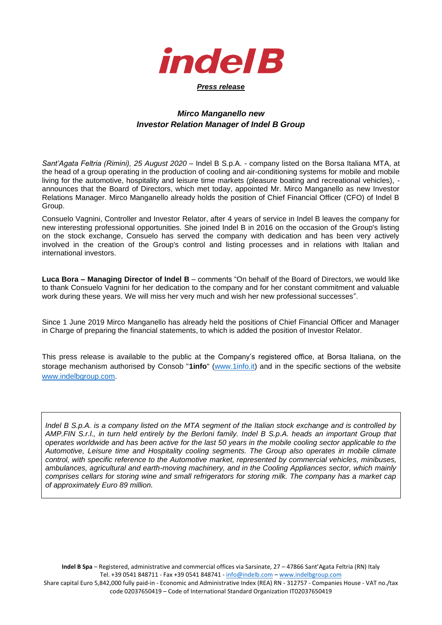

## *Mirco Manganello new Investor Relation Manager of Indel B Group*

*Sant'Agata Feltria (Rimini), 25 August 2020* – Indel B S.p.A. - company listed on the Borsa Italiana MTA, at the head of a group operating in the production of cooling and air-conditioning systems for mobile and mobile living for the automotive, hospitality and leisure time markets (pleasure boating and recreational vehicles), announces that the Board of Directors, which met today, appointed Mr. Mirco Manganello as new Investor Relations Manager. Mirco Manganello already holds the position of Chief Financial Officer (CFO) of Indel B Group.

Consuelo Vagnini, Controller and Investor Relator, after 4 years of service in Indel B leaves the company for new interesting professional opportunities. She joined Indel B in 2016 on the occasion of the Group's listing on the stock exchange, Consuelo has served the company with dedication and has been very actively involved in the creation of the Group's control and listing processes and in relations with Italian and international investors.

**Luca Bora – Managing Director of Indel B** – comments "On behalf of the Board of Directors, we would like to thank Consuelo Vagnini for her dedication to the company and for her constant commitment and valuable work during these years. We will miss her very much and wish her new professional successes".

Since 1 June 2019 Mirco Manganello has already held the positions of Chief Financial Officer and Manager in Charge of preparing the financial statements, to which is added the position of Investor Relator.

This press release is available to the public at the Company's registered office, at Borsa Italiana, on the storage mechanism authorised by Consob "**1info**" [\(www.1info.it\)](file:///C:/Users/User/Dropbox/Polytems/DOCUMENTI%20BIANCA/CLIENTI%20ATTIVI/INDEL%20B/COMUNICATI%20STAMPA/2019/CS%20POST%20ASSEMBLEA%20AZIONI%20PROPRIE/COMUNICATI%20POST%20ASSEMBLEA/www.1info.it) and in the specific sections of the website [www.indelbgroup.com.](http://www.indelbgroup.com/)

*Indel B S.p.A. is a company listed on the MTA segment of the Italian stock exchange and is controlled by AMP.FIN S.r.l., in turn held entirely by the Berloni family. Indel B S.p.A. heads an important Group that operates worldwide and has been active for the last 50 years in the mobile cooling sector applicable to the Automotive, Leisure time and Hospitality cooling segments. The Group also operates in mobile climate control, with specific reference to the Automotive market, represented by commercial vehicles, minibuses, ambulances, agricultural and earth-moving machinery, and in the Cooling Appliances sector, which mainly comprises cellars for storing wine and small refrigerators for storing milk. The company has a market cap of approximately Euro 89 million.*

**Indel B Spa** – Registered, administrative and commercial offices via Sarsinate, 27 – 47866 Sant'Agata Feltria (RN) Italy Tel. +39 0541 848711 - Fax +39 0541 848741 - <info@indelb.com> – [www.indelbgroup.com](http://www.indelbgroup.com/) Share capital Euro 5,842,000 fully paid-in - Economic and Administrative Index (REA) RN - 312757 - Companies House - VAT no./tax code 02037650419 – Code of International Standard Organization IT02037650419